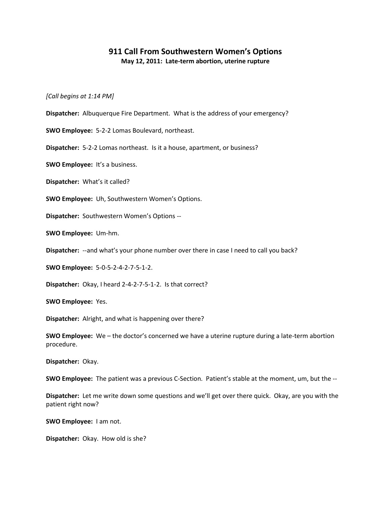## **911 Call From Southwestern Women's Options May 12, 2011: Late-term abortion, uterine rupture**

*[Call begins at 1:14 PM]*

**Dispatcher:** Albuquerque Fire Department. What is the address of your emergency?

**SWO Employee:** 5-2-2 Lomas Boulevard, northeast.

**Dispatcher:** 5-2-2 Lomas northeast. Is it a house, apartment, or business?

**SWO Employee:** It's a business.

**Dispatcher:** What's it called?

**SWO Employee:** Uh, Southwestern Women's Options.

**Dispatcher:** Southwestern Women's Options --

**SWO Employee:** Um-hm.

**Dispatcher:** --and what's your phone number over there in case I need to call you back?

**SWO Employee:** 5-0-5-2-4-2-7-5-1-2.

**Dispatcher:** Okay, I heard 2-4-2-7-5-1-2. Is that correct?

**SWO Employee:** Yes.

**Dispatcher:** Alright, and what is happening over there?

**SWO Employee:** We – the doctor's concerned we have a uterine rupture during a late-term abortion procedure.

**Dispatcher:** Okay.

**SWO Employee:** The patient was a previous C-Section. Patient's stable at the moment, um, but the --

**Dispatcher:** Let me write down some questions and we'll get over there quick. Okay, are you with the patient right now?

**SWO Employee:** I am not.

**Dispatcher:** Okay. How old is she?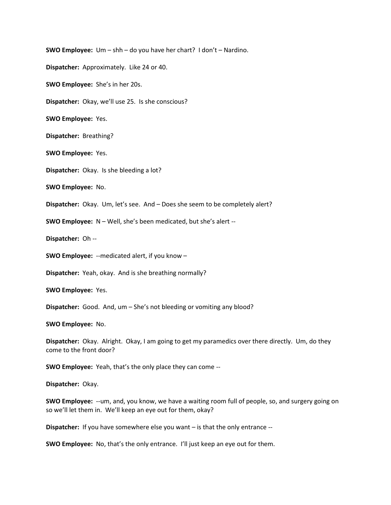**SWO Employee:** Um – shh – do you have her chart? I don't – Nardino. **Dispatcher:** Approximately. Like 24 or 40. **SWO Employee:** She's in her 20s. **Dispatcher:** Okay, we'll use 25. Is she conscious? **SWO Employee:** Yes. **Dispatcher:** Breathing? **SWO Employee:** Yes. **Dispatcher:** Okay. Is she bleeding a lot? **SWO Employee:** No. **Dispatcher:** Okay. Um, let's see. And – Does she seem to be completely alert? **SWO Employee:** N – Well, she's been medicated, but she's alert -- **Dispatcher:** Oh -- **SWO Employee:** --medicated alert, if you know – **Dispatcher:** Yeah, okay. And is she breathing normally? **SWO Employee:** Yes. **Dispatcher:** Good. And, um – She's not bleeding or vomiting any blood? **SWO Employee:** No.

**Dispatcher:** Okay. Alright. Okay, I am going to get my paramedics over there directly. Um, do they come to the front door?

**SWO Employee:** Yeah, that's the only place they can come --

**Dispatcher:** Okay.

**SWO Employee:** --um, and, you know, we have a waiting room full of people, so, and surgery going on so we'll let them in. We'll keep an eye out for them, okay?

**Dispatcher:** If you have somewhere else you want – is that the only entrance --

**SWO Employee:** No, that's the only entrance. I'll just keep an eye out for them.